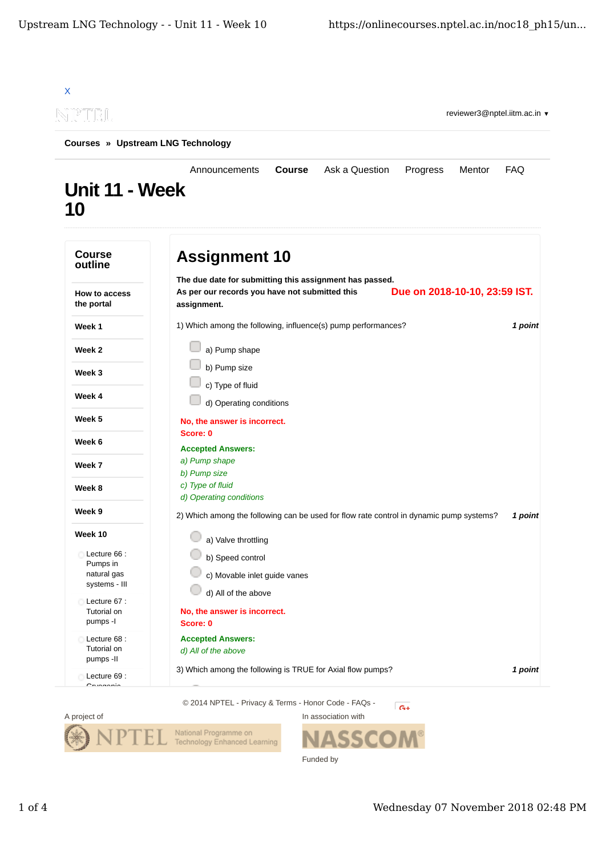| NPTEL                             | reviewer3@nptel.iitm.ac.in                                                                                                                                |            |  |  |
|-----------------------------------|-----------------------------------------------------------------------------------------------------------------------------------------------------------|------------|--|--|
| Courses » Upstream LNG Technology |                                                                                                                                                           |            |  |  |
| Unit 11 - Week<br><b>10</b>       | Ask a Question<br>Announcements<br><b>Course</b><br>Progress<br>Mentor                                                                                    | <b>FAQ</b> |  |  |
| <b>Course</b><br>outline          | <b>Assignment 10</b>                                                                                                                                      |            |  |  |
| How to access<br>the portal       | The due date for submitting this assignment has passed.<br>Due on 2018-10-10, 23:59 IST.<br>As per our records you have not submitted this<br>assignment. |            |  |  |
| Week 1                            | 1) Which among the following, influence(s) pump performances?                                                                                             | 1 point    |  |  |
| Week 2                            | a) Pump shape                                                                                                                                             |            |  |  |
| Week 3                            | b) Pump size                                                                                                                                              |            |  |  |
| Week 4                            | c) Type of fluid<br>d) Operating conditions                                                                                                               |            |  |  |
| Week 5                            | No, the answer is incorrect.                                                                                                                              |            |  |  |
| Week 6                            | Score: 0                                                                                                                                                  |            |  |  |
| Week 7                            | <b>Accepted Answers:</b><br>a) Pump shape                                                                                                                 |            |  |  |
| Week 8                            | b) Pump size<br>c) Type of fluid                                                                                                                          |            |  |  |
| Week 9                            | d) Operating conditions<br>2) Which among the following can be used for flow rate control in dynamic pump systems?                                        | 1 point    |  |  |
| Week 10                           | a) Valve throttling                                                                                                                                       |            |  |  |
| Lecture 66 :                      | b) Speed control                                                                                                                                          |            |  |  |
| Pumps in<br>natural gas           | c) Movable inlet guide vanes                                                                                                                              |            |  |  |
| systems - III                     | d) All of the above                                                                                                                                       |            |  |  |
| Lecture 67:<br>Tutorial on        | No, the answer is incorrect.                                                                                                                              |            |  |  |
| pumps -I                          | Score: 0                                                                                                                                                  |            |  |  |
| Lecture 68 :<br>Tutorial on       | <b>Accepted Answers:</b>                                                                                                                                  |            |  |  |
| pumps -II                         | d) All of the above                                                                                                                                       |            |  |  |
| Lecture 69 :                      | 3) Which among the following is TRUE for Axial flow pumps?                                                                                                | 1 point    |  |  |



ASS( I Funded by

In association with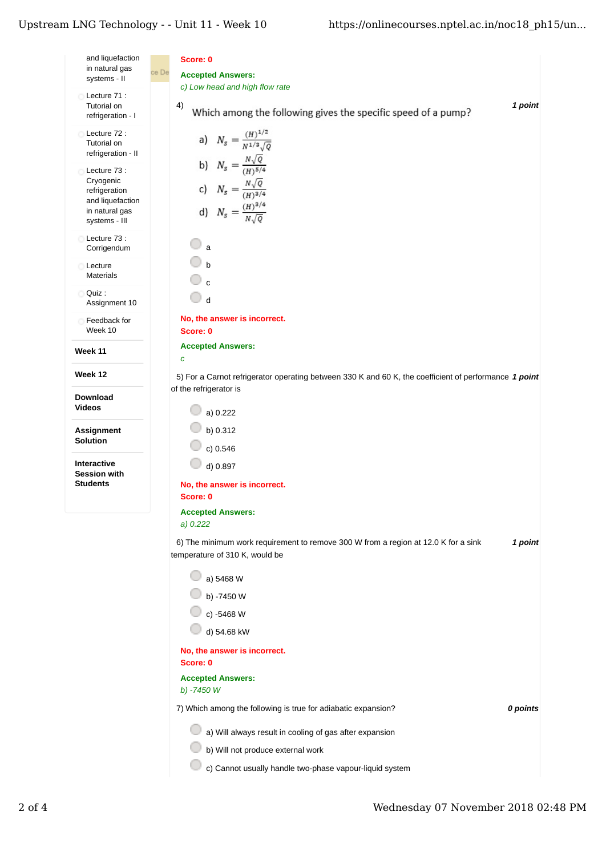## Upstream LNG Technology - - Unit 11 - Week $10\,$

| and liquefaction<br>in natural gas<br>systems - II                                                | Score: 0<br>ce De<br><b>Accepted Answers:</b>                                                                                   |
|---------------------------------------------------------------------------------------------------|---------------------------------------------------------------------------------------------------------------------------------|
| Lecture 71 :<br>Tutorial on<br>refrigeration - I                                                  | c) Low head and high flow rate<br>1 point<br>4)<br>Which among the following gives the specific speed of a pump?                |
| Lecture 72:<br>Tutorial on<br>refrigeration - II                                                  | a) $N_s = \frac{(H)^{1/2}}{N^{1/3}\sqrt{Q}}$                                                                                    |
| Lecture 73 :<br>Cryogenic<br>refrigeration<br>and liquefaction<br>in natural gas<br>systems - III | b) $N_s = \frac{N\sqrt{Q}}{(H)^{5/4}}$<br>c) $N_s = \frac{N\sqrt{Q}}{(H)^{3/4}}$<br>d) $N_s = \frac{(H)^{3/4}}{N\sqrt{Q}}$      |
| Lecture 73 :<br>Corrigendum                                                                       | a                                                                                                                               |
| Lecture<br><b>Materials</b>                                                                       | $\mathbf{c}$                                                                                                                    |
| O Quiz:<br>Assignment 10                                                                          | 0<br>$\mathbf d$                                                                                                                |
| Feedback for<br>Week 10                                                                           | No, the answer is incorrect.<br>Score: 0                                                                                        |
| Week 11                                                                                           | <b>Accepted Answers:</b><br>$\mathbf c$                                                                                         |
| Week 12                                                                                           | 5) For a Carnot refrigerator operating between 330 K and 60 K, the coefficient of performance 1 point<br>of the refrigerator is |
| <b>Download</b><br><b>Videos</b>                                                                  | a) 0.222                                                                                                                        |
| Assignment<br>Solution                                                                            | b) $0.312$                                                                                                                      |
|                                                                                                   | c) 0.546                                                                                                                        |
| <b>Interactive</b><br><b>Session with</b><br><b>Students</b>                                      | d) 0.897<br>No, the answer is incorrect.<br>Score: 0                                                                            |
|                                                                                                   | <b>Accepted Answers:</b><br>a) $0.222$                                                                                          |
|                                                                                                   | 6) The minimum work requirement to remove 300 W from a region at 12.0 K for a sink<br>1 point<br>temperature of 310 K, would be |
|                                                                                                   | a) 5468 W                                                                                                                       |
|                                                                                                   | b) -7450 W                                                                                                                      |
|                                                                                                   | c) -5468 W                                                                                                                      |
|                                                                                                   | d) 54.68 kW                                                                                                                     |
|                                                                                                   | No, the answer is incorrect.<br>Score: 0                                                                                        |
|                                                                                                   | <b>Accepted Answers:</b><br>b) -7450 W                                                                                          |
|                                                                                                   | 7) Which among the following is true for adiabatic expansion?<br>0 points                                                       |
|                                                                                                   | a) Will always result in cooling of gas after expansion                                                                         |
|                                                                                                   | b) Will not produce external work                                                                                               |
|                                                                                                   | c) Cannot usually handle two-phase vapour-liquid system                                                                         |